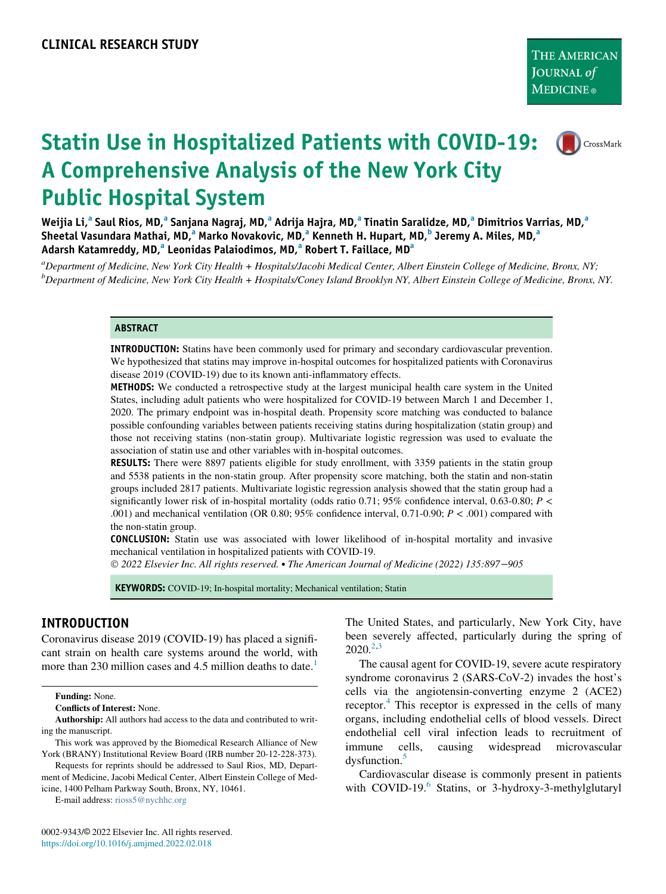CrossMark

# Statin Use in Hospitalized Patients with COVID-19: A Comprehensive Analysis of the New York City Public Hospital System

Weiji[a](#page-0-0) Li,<sup>a</sup> Saul Rios, MD,<sup>a</sup> Sanjana Nagraj, MD,<sup>a</sup> Adrija Hajra, MD,<sup>a</sup> Tinatin Saralidze, MD,<sup>a</sup> Dimitrios Varrias, MD,<sup>a</sup> Sheet[a](#page-0-0)l Vasundara Mathai, MD,<sup>a</sup> Marko Novakovic, MD,<sup>a</sup> Kenneth H. Hupart, MD,<sup>[b](#page-0-0)</sup> Jeremy A. Miles, MD,<sup>a</sup> Ad[a](#page-0-0)rsh Katamreddy, MD,<sup>a</sup> Leonidas Palaiodimos, MD,<sup>a</sup> Robert T. Faillace, MD<sup>a</sup>

<span id="page-0-0"></span>a<br>Department of Medicine, New York City Health + Hospitals/Jacobi Medical Center, Albert Einstein College of Medicine, Bronx, NY; b<br>Department of Medicine, New York City Health + Hospitals/Coney Island Brooklyn NY, Albert Einstein College of Medicine, Bronx, NY.

#### **ABSTRACT**

INTRODUCTION: Statins have been commonly used for primary and secondary cardiovascular prevention. We hypothesized that statins may improve in-hospital outcomes for hospitalized patients with Coronavirus disease 2019 (COVID-19) due to its known anti-inflammatory effects.

METHODS: We conducted a retrospective study at the largest municipal health care system in the United States, including adult patients who were hospitalized for COVID-19 between March 1 and December 1, 2020. The primary endpoint was in-hospital death. Propensity score matching was conducted to balance possible confounding variables between patients receiving statins during hospitalization (statin group) and those not receiving statins (non-statin group). Multivariate logistic regression was used to evaluate the association of statin use and other variables with in-hospital outcomes.

RESULTS: There were 8897 patients eligible for study enrollment, with 3359 patients in the statin group and 5538 patients in the non-statin group. After propensity score matching, both the statin and non-statin groups included 2817 patients. Multivariate logistic regression analysis showed that the statin group had a significantly lower risk of in-hospital mortality (odds ratio 0.71; 95% confidence interval, 0.63-0.80;  $P \lt \mathcal{E}$ .001) and mechanical ventilation (OR 0.80;  $95\%$  confidence interval, 0.71-0.90;  $P < .001$ ) compared with the non-statin group.

CONCLUSION: Statin use was associated with lower likelihood of in-hospital mortality and invasive mechanical ventilation in hospitalized patients with COVID-19.

2022 Elsevier Inc. All rights reserved. The American Journal of Medicine (2022) 135:897−905

KEYWORDS: COVID-19; In-hospital mortality; Mechanical ventilation; Statin

## INTRODUCTION

Coronavirus disease 2019 (COVID-19) has placed a significant strain on health care systems around the world, with more than 230 million cases and 4.5 million deaths to date.<sup>[1](#page-7-0)</sup>

Funding: None.

Conflicts of Interest: None.

Authorship: All authors had access to the data and contributed to writing the manuscript.

This work was approved by the Biomedical Research Alliance of New York (BRANY) Institutional Review Board (IRB number 20-12-228-373).

Requests for reprints should be addressed to Saul Rios, MD, Department of Medicine, Jacobi Medical Center, Albert Einstein College of Medicine, 1400 Pelham Parkway South, Bronx, NY, 10461.

E-mail address: [rioss5@nychhc.org](mailto:rioss5@nychhc.org)

The United States, and particularly, New York City, have been severely affected, particularly during the spring of  $2020.<sup>2,3</sup>$  $2020.<sup>2,3</sup>$  $2020.<sup>2,3</sup>$ 

The causal agent for COVID-19, severe acute respiratory syndrome coronavirus 2 (SARS-CoV-2) invades the host's cells via the angiotensin-converting enzyme 2 (ACE2) receptor.<sup>[4](#page-7-3)</sup> This receptor is expressed in the cells of many organs, including endothelial cells of blood vessels. Direct endothelial cell viral infection leads to recruitment of immune cells, causing widespread microvascular dysfunction.<sup>[5](#page-7-4)</sup>

Cardiovascular disease is commonly present in patients with COVID-19. $^{6}$  $^{6}$  $^{6}$  Statins, or 3-hydroxy-3-methylglutaryl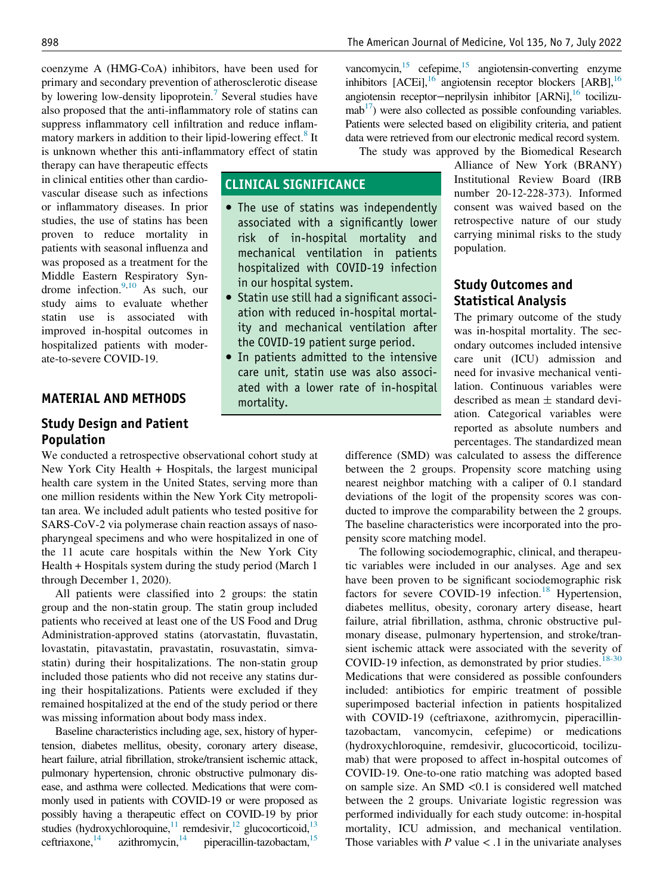coenzyme A (HMG-CoA) inhibitors, have been used for primary and secondary prevention of atherosclerotic disease by lowering low-density lipoprotein.<sup>[7](#page-7-6)</sup> Several studies have also proposed that the anti-inflammatory role of statins can suppress inflammatory cell infiltration and reduce inflam-matory markers in addition to their lipid-lowering effect.<sup>[8](#page-7-7)</sup> It is unknown whether this anti-inflammatory effect of statin

CLINICAL SIGNIFICANCE

in our hospital system.

mortality.

• The use of statins was independently associated with a significantly lower risk of in-hospital mortality and mechanical ventilation in patients hospitalized with COVID-19 infection

 Statin use still had a significant association with reduced in-hospital mortality and mechanical ventilation after the COVID-19 patient surge period. In patients admitted to the intensive care unit, statin use was also associated with a lower rate of in-hospital

therapy can have therapeutic effects in clinical entities other than cardiovascular disease such as infections or inflammatory diseases. In prior studies, the use of statins has been proven to reduce mortality in patients with seasonal influenza and was proposed as a treatment for the Middle Eastern Respiratory Syndrome infection. $9,10$  $9,10$  As such, our study aims to evaluate whether statin use is associated with improved in-hospital outcomes in hospitalized patients with moderate-to-severe COVID-19.

## MATERIAL AND METHODS

## Study Design and Patient Population

We conducted a retrospective observational cohort study at New York City Health + Hospitals, the largest municipal health care system in the United States, serving more than one million residents within the New York City metropolitan area. We included adult patients who tested positive for SARS-CoV-2 via polymerase chain reaction assays of nasopharyngeal specimens and who were hospitalized in one of the 11 acute care hospitals within the New York City Health + Hospitals system during the study period (March 1 through December 1, 2020).

All patients were classified into 2 groups: the statin group and the non-statin group. The statin group included patients who received at least one of the US Food and Drug Administration-approved statins (atorvastatin, fluvastatin, lovastatin, pitavastatin, pravastatin, rosuvastatin, simvastatin) during their hospitalizations. The non-statin group included those patients who did not receive any statins during their hospitalizations. Patients were excluded if they remained hospitalized at the end of the study period or there was missing information about body mass index.

Baseline characteristics including age, sex, history of hypertension, diabetes mellitus, obesity, coronary artery disease, heart failure, atrial fibrillation, stroke/transient ischemic attack, pulmonary hypertension, chronic obstructive pulmonary disease, and asthma were collected. Medications that were commonly used in patients with COVID-19 or were proposed as possibly having a therapeutic effect on COVID-19 by prior studies (hydroxychloroquine, $11$  remdesivir, $12$  glucocorticoid, $13$ ceftriaxone,  $\frac{14}{15}$  $\frac{14}{15}$  $\frac{14}{15}$  $\frac{14}{15}$  $\frac{14}{15}$  azithromycin,  $\frac{14}{15}$  piperacillin-tazobactam,  $\frac{15}{15}$ 

vancomycin, $15$  cefepime, $15$  angiotensin-converting enzyme inhibitors [ACEi],<sup>[16](#page-7-15)</sup> angiotensin receptor blockers [ARB],<sup>16</sup> angiotensin receptor−neprilysin inhibitor [ARNi],<sup>16</sup> tocilizu $mab^{17}$ ) were also collected as possible confounding variables. Patients were selected based on eligibility criteria, and patient data were retrieved from our electronic medical record system.

The study was approved by the Biomedical Research

Alliance of New York (BRANY) Institutional Review Board (IRB number 20-12-228-373). Informed consent was waived based on the retrospective nature of our study carrying minimal risks to the study population.

## Study Outcomes and Statistical Analysis

The primary outcome of the study was in-hospital mortality. The secondary outcomes included intensive care unit (ICU) admission and need for invasive mechanical ventilation. Continuous variables were described as mean  $\pm$  standard deviation. Categorical variables were reported as absolute numbers and percentages. The standardized mean

difference (SMD) was calculated to assess the difference between the 2 groups. Propensity score matching using nearest neighbor matching with a caliper of 0.1 standard deviations of the logit of the propensity scores was conducted to improve the comparability between the 2 groups. The baseline characteristics were incorporated into the propensity score matching model.

The following sociodemographic, clinical, and therapeutic variables were included in our analyses. Age and sex have been proven to be significant sociodemographic risk factors for severe COVID-19 infection.<sup>[18](#page-7-17)</sup> Hypertension, diabetes mellitus, obesity, coronary artery disease, heart failure, atrial fibrillation, asthma, chronic obstructive pulmonary disease, pulmonary hypertension, and stroke/transient ischemic attack were associated with the severity of COVID-19 infection, as demonstrated by prior studies.  $18-30$ Medications that were considered as possible confounders included: antibiotics for empiric treatment of possible superimposed bacterial infection in patients hospitalized with COVID-19 (ceftriaxone, azithromycin, piperacillintazobactam, vancomycin, cefepime) or medications (hydroxychloroquine, remdesivir, glucocorticoid, tocilizumab) that were proposed to affect in-hospital outcomes of COVID-19. One-to-one ratio matching was adopted based on sample size. An SMD <0.1 is considered well matched between the 2 groups. Univariate logistic regression was performed individually for each study outcome: in-hospital mortality, ICU admission, and mechanical ventilation. Those variables with  $P$  value  $\lt$  .1 in the univariate analyses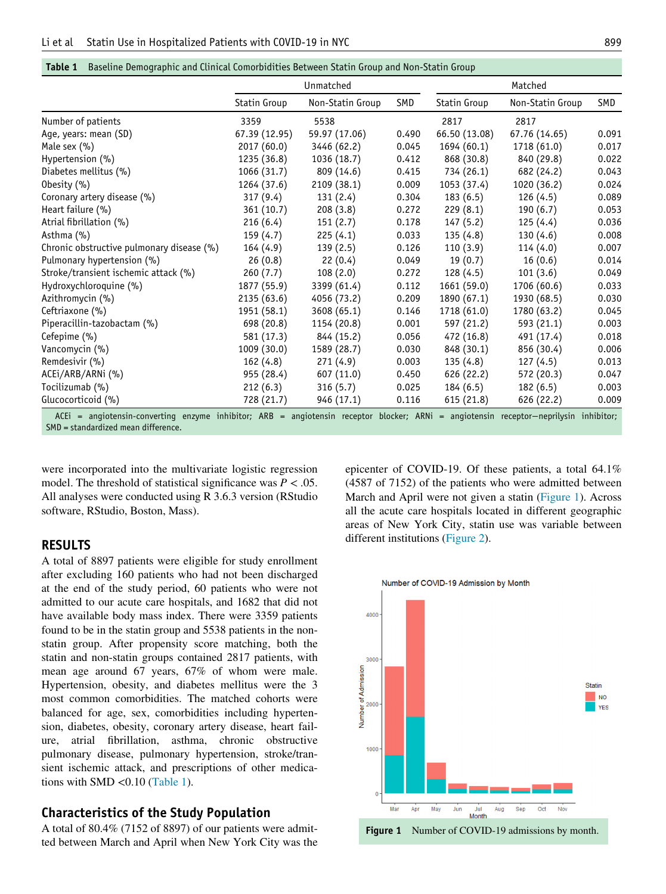<span id="page-2-0"></span>

|  | <b>Table 1</b> Baseline Demographic and Clinical Comorbidities Between Statin Group and Non-Statin Group |  |
|--|----------------------------------------------------------------------------------------------------------|--|
|  |                                                                                                          |  |

|                                                                                                                                       | Unmatched     |                  |       | Matched       |                  |       |
|---------------------------------------------------------------------------------------------------------------------------------------|---------------|------------------|-------|---------------|------------------|-------|
|                                                                                                                                       | Statin Group  | Non-Statin Group | SMD   | Statin Group  | Non-Statin Group | SMD   |
| Number of patients                                                                                                                    | 3359          | 5538             |       | 2817          | 2817             |       |
| Age, years: mean (SD)                                                                                                                 | 67.39 (12.95) | 59.97 (17.06)    | 0.490 | 66.50 (13.08) | 67.76 (14.65)    | 0.091 |
| Male sex $(\% )$                                                                                                                      | 2017 (60.0)   | 3446 (62.2)      | 0.045 | 1694(60.1)    | 1718 (61.0)      | 0.017 |
| Hypertension (%)                                                                                                                      | 1235 (36.8)   | 1036 (18.7)      | 0.412 | 868 (30.8)    | 840 (29.8)       | 0.022 |
| Diabetes mellitus (%)                                                                                                                 | 1066 (31.7)   | 809 (14.6)       | 0.415 | 734 (26.1)    | 682 (24.2)       | 0.043 |
| Obesity $(\% )$                                                                                                                       | 1264 (37.6)   | 2109 (38.1)      | 0.009 | 1053 (37.4)   | 1020 (36.2)      | 0.024 |
| Coronary artery disease (%)                                                                                                           | 317(9.4)      | 131(2.4)         | 0.304 | 183(6.5)      | 126 (4.5)        | 0.089 |
| Heart failure (%)                                                                                                                     | 361 (10.7)    | 208(3.8)         | 0.272 | 229(8.1)      | 190(6.7)         | 0.053 |
| Atrial fibrillation (%)                                                                                                               | 216(6.4)      | 151(2.7)         | 0.178 | 147(5.2)      | 125(4.4)         | 0.036 |
| Asthma (%)                                                                                                                            | 159(4.7)      | 225(4.1)         | 0.033 | 135(4.8)      | 130(4.6)         | 0.008 |
| Chronic obstructive pulmonary disease (%)                                                                                             | 164(4.9)      | 139(2.5)         | 0.126 | 110(3.9)      | 114(4.0)         | 0.007 |
| Pulmonary hypertension (%)                                                                                                            | 26(0.8)       | 22(0.4)          | 0.049 | 19(0.7)       | 16(0.6)          | 0.014 |
| Stroke/transient ischemic attack (%)                                                                                                  | 260(7.7)      | 108(2.0)         | 0.272 | 128(4.5)      | 101(3.6)         | 0.049 |
| Hydroxychloroquine (%)                                                                                                                | 1877 (55.9)   | 3399 (61.4)      | 0.112 | 1661 (59.0)   | 1706 (60.6)      | 0.033 |
| Azithromycin (%)                                                                                                                      | 2135 (63.6)   | 4056 (73.2)      | 0.209 | 1890 (67.1)   | 1930 (68.5)      | 0.030 |
| Ceftriaxone (%)                                                                                                                       | 1951 (58.1)   | 3608 (65.1)      | 0.146 | 1718 (61.0)   | 1780 (63.2)      | 0.045 |
| Piperacillin-tazobactam (%)                                                                                                           | 698 (20.8)    | 1154 (20.8)      | 0.001 | 597 (21.2)    | 593 (21.1)       | 0.003 |
| Cefepime (%)                                                                                                                          | 581 (17.3)    | 844 (15.2)       | 0.056 | 472 (16.8)    | 491 (17.4)       | 0.018 |
| Vancomycin (%)                                                                                                                        | 1009 (30.0)   | 1589 (28.7)      | 0.030 | 848 (30.1)    | 856 (30.4)       | 0.006 |
| Remdesivir (%)                                                                                                                        | 162(4.8)      | 271(4.9)         | 0.003 | 135(4.8)      | 127(4.5)         | 0.013 |
| ACEI/ARB/ARNI (%)                                                                                                                     | 955 (28.4)    | 607 (11.0)       | 0.450 | 626 (22.2)    | 572 (20.3)       | 0.047 |
| Tocilizumab (%)                                                                                                                       | 212(6.3)      | 316(5.7)         | 0.025 | 184(6.5)      | 182(6.5)         | 0.003 |
| Glucocorticoid (%)                                                                                                                    | 728 (21.7)    | 946 (17.1)       | 0.116 | 615 (21.8)    | 626 (22.2)       | 0.009 |
| ACEi = angiotensin-converting enzyme inhibitor; ARB = angiotensin receptor blocker; ARNi = angiotensin receptor-neprilysin inhibitor; |               |                  |       |               |                  |       |

SMD = standardized mean difference.

were incorporated into the multivariate logistic regression model. The threshold of statistical significance was  $P < .05$ . All analyses were conducted using R 3.6.3 version (RStudio software, RStudio, Boston, Mass).

#### RESULTS

<span id="page-2-1"></span>A total of 8897 patients were eligible for study enrollment after excluding 160 patients who had not been discharged at the end of the study period, 60 patients who were not admitted to our acute care hospitals, and 1682 that did not have available body mass index. There were 3359 patients found to be in the statin group and 5538 patients in the nonstatin group. After propensity score matching, both the statin and non-statin groups contained 2817 patients, with mean age around 67 years, 67% of whom were male. Hypertension, obesity, and diabetes mellitus were the 3 most common comorbidities. The matched cohorts were balanced for age, sex, comorbidities including hypertension, diabetes, obesity, coronary artery disease, heart failure, atrial fibrillation, asthma, chronic obstructive pulmonary disease, pulmonary hypertension, stroke/transient ischemic attack, and prescriptions of other medications with SMD <0.10 ([Table 1\)](#page-2-0).

### Characteristics of the Study Population

A total of 80.4% (7152 of 8897) of our patients were admitted between March and April when New York City was the

epicenter of COVID-19. Of these patients, a total 64.1% (4587 of 7152) of the patients who were admitted between March and April were not given a statin ([Figure 1\)](#page-2-1). Across all the acute care hospitals located in different geographic areas of New York City, statin use was variable between different institutions ([Figure 2](#page-3-0)).

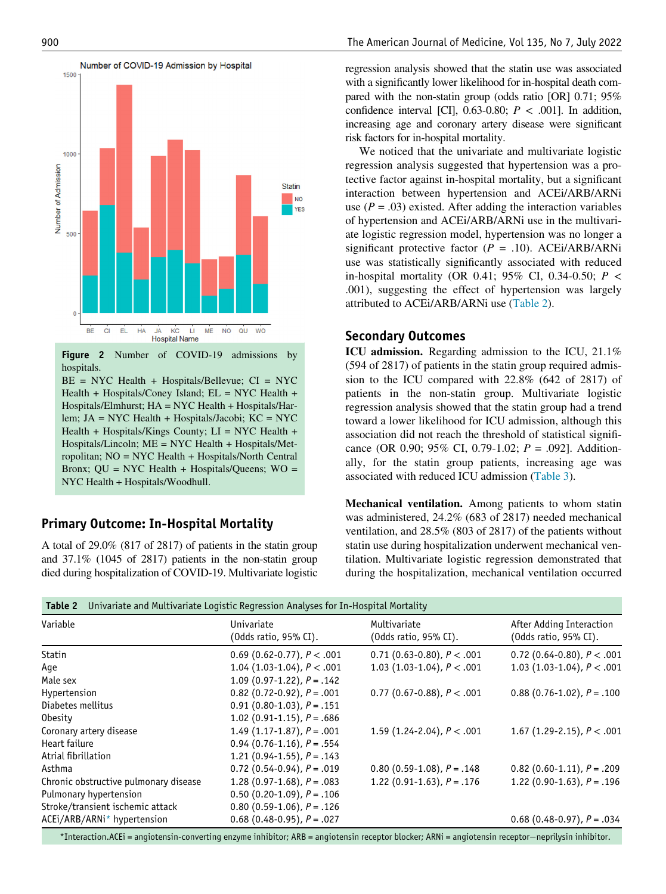<span id="page-3-0"></span>

Figure 2 Number of COVID-19 admissions by hospitals.

BE = NYC Health + Hospitals/Bellevue; CI = NYC Health + Hospitals/Coney Island;  $EL = NYC$  Health + Hospitals/Elmhurst; HA = NYC Health + Hospitals/Harlem; JA = NYC Health + Hospitals/Jacobi; KC = NYC Health + Hospitals/Kings County;  $LI = NYC$  Health + Hospitals/Lincoln; ME = NYC Health + Hospitals/Metropolitan; NO = NYC Health + Hospitals/North Central Bronx; QU = NYC Health + Hospitals/Queens; WO = NYC Health + Hospitals/Woodhull.

## Primary Outcome: In-Hospital Mortality

A total of 29.0% (817 of 2817) of patients in the statin group and 37.1% (1045 of 2817) patients in the non-statin group died during hospitalization of COVID-19. Multivariate logistic regression analysis showed that the statin use was associated with a significantly lower likelihood for in-hospital death compared with the non-statin group (odds ratio [OR] 0.71; 95% confidence interval [CI], 0.63-0.80;  $P < .001$ ]. In addition, increasing age and coronary artery disease were significant risk factors for in-hospital mortality.

We noticed that the univariate and multivariate logistic regression analysis suggested that hypertension was a protective factor against in-hospital mortality, but a significant interaction between hypertension and ACEi/ARB/ARNi use ( $P = .03$ ) existed. After adding the interaction variables of hypertension and ACEi/ARB/ARNi use in the multivariate logistic regression model, hypertension was no longer a significant protective factor  $(P = .10)$ . ACEI/ARB/ARNi use was statistically significantly associated with reduced in-hospital mortality (OR 0.41; 95% CI, 0.34-0.50;  $P <$ .001), suggesting the effect of hypertension was largely attributed to ACEi/ARB/ARNi use ([Table 2\)](#page-3-1).

## Secondary Outcomes

ICU admission. Regarding admission to the ICU, 21.1% (594 of 2817) of patients in the statin group required admission to the ICU compared with 22.8% (642 of 2817) of patients in the non-statin group. Multivariate logistic regression analysis showed that the statin group had a trend toward a lower likelihood for ICU admission, although this association did not reach the threshold of statistical significance (OR 0.90; 95% CI, 0.79-1.02;  $P = .092$ ]. Additionally, for the statin group patients, increasing age was associated with reduced ICU admission [\(Table 3](#page-4-0)).

Mechanical ventilation. Among patients to whom statin was administered, 24.2% (683 of 2817) needed mechanical ventilation, and 28.5% (803 of 2817) of the patients without statin use during hospitalization underwent mechanical ventilation. Multivariate logistic regression demonstrated that during the hospitalization, mechanical ventilation occurred

<span id="page-3-1"></span>

| Variable                              | Univariate and Multivariate Logistic Regression Analyses for In-Hospital Mortality<br>Univariate | Multivariate                      | After Adding Interaction          |
|---------------------------------------|--------------------------------------------------------------------------------------------------|-----------------------------------|-----------------------------------|
|                                       | (Odds ratio, 95% CI).                                                                            | (Odds ratio, 95% CI).             | (Odds ratio, 95% CI).             |
| <b>Statin</b>                         | 0.69 (0.62-0.77), $P < .001$                                                                     | 0.71 (0.63-0.80), $P < .001$      | 0.72 (0.64-0.80), $P < .001$      |
| Aqe                                   | 1.04 $(1.03-1.04)$ , $P < .001$                                                                  | 1.03 (1.03-1.04), $P < .001$      | 1.03 $(1.03 - 1.04)$ , $P < .001$ |
| Male sex                              | 1.09 $(0.97-1.22)$ , $P = .142$                                                                  |                                   |                                   |
| Hypertension                          | $0.82$ (0.72-0.92), $P = .001$                                                                   | 0.77 (0.67-0.88), $P < .001$      | $0.88(0.76-1.02), P = .100$       |
| Diabetes mellitus                     | $0.91(0.80-1.03)$ , $P = .151$                                                                   |                                   |                                   |
| Obesity                               | 1.02 $(0.91-1.15)$ , $P = .686$                                                                  |                                   |                                   |
| Coronary artery disease               | 1.49 $(1.17-1.87)$ , $P = .001$                                                                  | 1.59 $(1.24 - 2.04)$ , $P < .001$ | 1.67 $(1.29-2.15)$ , $P < .001$   |
| Heart failure                         | $0.94$ (0.76-1.16), $P = .554$                                                                   |                                   |                                   |
| Atrial fibrillation                   | 1.21 $(0.94-1.55)$ , $P = .143$                                                                  |                                   |                                   |
| Asthma                                | $0.72$ (0.54-0.94), $P = .019$                                                                   | $0.80$ (0.59-1.08), $P = .148$    | $0.82$ (0.60-1.11), $P = .209$    |
| Chronic obstructive pulmonary disease | 1.28 $(0.97 - 1.68)$ , $P = .083$                                                                | 1.22 $(0.91-1.63)$ , $P = .176$   | 1.22 $(0.90-1.63)$ , $P = .196$   |
| Pulmonary hypertension                | $0.50$ (0.20-1.09), $P = .106$                                                                   |                                   |                                   |
| Stroke/transient ischemic attack      | $0.80$ (0.59-1.06), $P = .126$                                                                   |                                   |                                   |
| ACEi/ARB/ARNi* hypertension           | $0.68$ (0.48-0.95), $P = .027$                                                                   |                                   | $0.68$ (0.48-0.97), $P = .034$    |

<span id="page-3-2"></span>\*Interaction.ACEi = angiotensin-converting enzyme inhibitor; ARB = angiotensin receptor blocker; ARNi = angiotensin receptor−neprilysin inhibitor.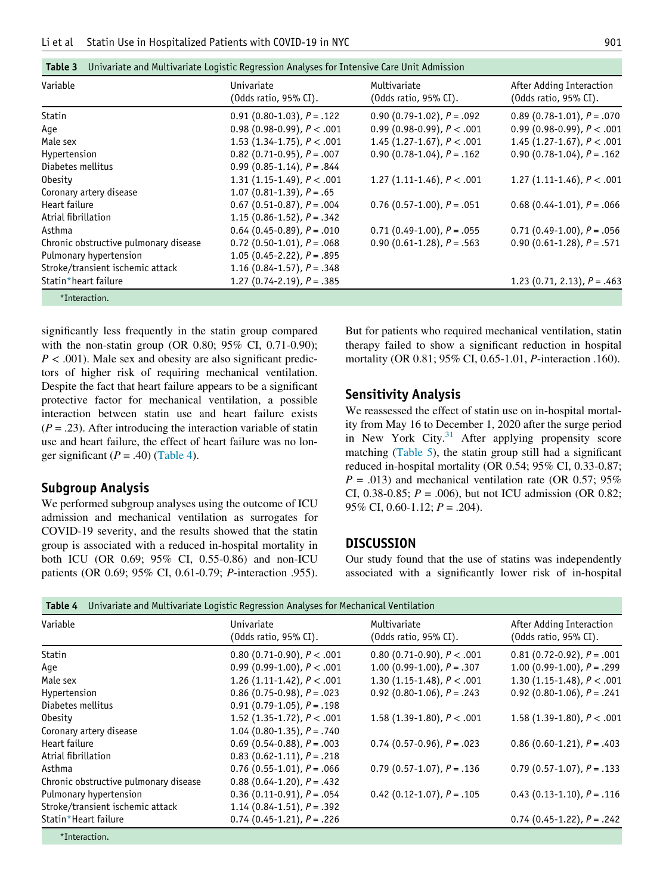Table 3 Univariate and Multivariate Logistic Regression Analyses for Intensive Care Unit Admission

<span id="page-4-0"></span>

|                                   | (Odds ratio, 95% CI).           | (Odds ratio, 95% CI).            |
|-----------------------------------|---------------------------------|----------------------------------|
| $0.91(0.80-1.03)$ , $P = .122$    | $0.90(0.79-1.02)$ , $P = .092$  | $0.89$ (0.78-1.01), $P = .070$   |
| 0.98 (0.98-0.99), $P < .001$      | 0.99 (0.98-0.99), $P < .001$    | 0.99 (0.98-0.99), $P < .001$     |
| 1.53 $(1.34 - 1.75)$ , $P < .001$ | 1.45 $(1.27-1.67)$ , $P < .001$ | 1.45 $(1.27-1.67)$ , $P < .001$  |
| $0.82$ (0.71-0.95), $P = .007$    | $0.90(0.78-1.04)$ , $P = .162$  | $0.90$ (0.78-1.04), $P = .162$   |
| 0.99 $(0.85-1.14)$ , $P = .844$   |                                 |                                  |
| 1.31 $(1.15-1.49)$ , $P < .001$   | 1.27 $(1.11-1.46)$ , $P < .001$ | 1.27 $(1.11-1.46)$ , $P < .001$  |
| 1.07 $(0.81-1.39)$ , $P = .65$    |                                 |                                  |
| $0.67$ (0.51-0.87), $P = .004$    | $0.76$ (0.57-1.00), $P = .051$  | $0.68$ (0.44-1.01), $P = .066$   |
| 1.15 $(0.86 - 1.52)$ , $P = .342$ |                                 |                                  |
| $0.64$ (0.45-0.89), $P = .010$    | $0.71(0.49-1.00)$ , $P = .055$  | $0.71(0.49-1.00)$ , $P = .056$   |
| $0.72$ (0.50-1.01), $P = .068$    | $0.90(0.61-1.28), P = .563$     | $0.90$ (0.61-1.28), $P = .571$   |
| 1.05 $(0.45 - 2.22)$ , $P = .895$ |                                 |                                  |
| 1.16 $(0.84 - 1.57)$ , $P = .348$ |                                 |                                  |
| 1.27 $(0.74 - 2.19)$ , $P = .385$ |                                 | 1.23 $(0.71, 2.13)$ , $P = .463$ |
|                                   |                                 |                                  |

<span id="page-4-2"></span>significantly less frequently in the statin group compared with the non-statin group (OR 0.80; 95% CI, 0.71-0.90);  $P < .001$ ). Male sex and obesity are also significant predictors of higher risk of requiring mechanical ventilation. Despite the fact that heart failure appears to be a significant protective factor for mechanical ventilation, a possible interaction between statin use and heart failure exists  $(P = .23)$ . After introducing the interaction variable of statin use and heart failure, the effect of heart failure was no longer significant  $(P = .40)$  [\(Table 4\)](#page-4-1).

### Subgroup Analysis

We performed subgroup analyses using the outcome of ICU admission and mechanical ventilation as surrogates for COVID-19 severity, and the results showed that the statin group is associated with a reduced in-hospital mortality in both ICU (OR 0.69; 95% CI, 0.55-0.86) and non-ICU patients (OR 0.69; 95% CI, 0.61-0.79; P-interaction .955). But for patients who required mechanical ventilation, statin therapy failed to show a significant reduction in hospital mortality (OR 0.81; 95% CI, 0.65-1.01, P-interaction .160).

### Sensitivity Analysis

We reassessed the effect of statin use on in-hospital mortality from May 16 to December 1, 2020 after the surge period in New York City. $31$  After applying propensity score matching [\(Table 5](#page-5-0)), the statin group still had a significant reduced in-hospital mortality (OR 0.54; 95% CI, 0.33-0.87;  $P = .013$ ) and mechanical ventilation rate (OR 0.57; 95%) CI, 0.38-0.85;  $P = .006$ ), but not ICU admission (OR 0.82; 95% CI, 0.60-1.12;  $P = .204$ ).

#### **DISCUSSION**

Our study found that the use of statins was independently associated with a significantly lower risk of in-hospital

<span id="page-4-1"></span>

| Univariate<br>$(0$ dds ratio, 95% CI $).$ | Multivariate<br>$(0$ dds ratio, 95% CI $).$ | After Adding Interaction<br>(Odds ratio, 95% CI).                                   |
|-------------------------------------------|---------------------------------------------|-------------------------------------------------------------------------------------|
| 0.80 (0.71-0.90), $P < .001$              | 0.80 (0.71-0.90), $P < .001$                | $0.81$ (0.72-0.92), $P = .001$                                                      |
| 0.99 (0.99-1.00), $P < .001$              | 1.00 $(0.99-1.00)$ , $P = .307$             | 1.00 $(0.99-1.00)$ , $P = .299$                                                     |
| 1.26 $(1.11-1.42)$ , $P < .001$           | 1.30 (1.15-1.48), $P < .001$                | 1.30 $(1.15-1.48)$ , $P < .001$                                                     |
| $0.86$ (0.75-0.98), $P = .023$            | 0.92 $(0.80-1.06)$ , $P = .243$             | 0.92 $(0.80-1.06)$ , $P = .241$                                                     |
| $0.91$ (0.79-1.05), $P = .198$            |                                             |                                                                                     |
| 1.52 (1.35-1.72), $P < .001$              | 1.58 $(1.39-1.80)$ , $P < .001$             | 1.58 $(1.39-1.80)$ , $P < .001$                                                     |
| 1.04 $(0.80-1.35)$ , $P = .740$           |                                             |                                                                                     |
| $0.69$ (0.54-0.88), $P = .003$            | $0.74$ (0.57-0.96), $P = .023$              | $0.86$ (0.60-1.21), $P = .403$                                                      |
| $0.83$ (0.62-1.11), $P = .218$            |                                             |                                                                                     |
| $0.76$ (0.55-1.01), $P = .066$            | $0.79$ (0.57-1.07), $P = .136$              | $0.79$ (0.57-1.07), $P = .133$                                                      |
| $0.88$ (0.64-1.20), $P = .432$            |                                             |                                                                                     |
| $0.36$ (0.11-0.91), $P = .054$            | $0.42$ (0.12-1.07), $P = .105$              | $0.43$ (0.13-1.10), $P = .116$                                                      |
| 1.14 $(0.84 - 1.51)$ , $P = .392$         |                                             |                                                                                     |
| $0.74$ (0.45-1.21), $P = .226$            |                                             | $0.74$ (0.45-1.22), $P = .242$                                                      |
|                                           |                                             | Univariate and Multivariate Logistic Regression Analyses for Mechanical Ventilation |

<span id="page-4-3"></span>\*Interaction.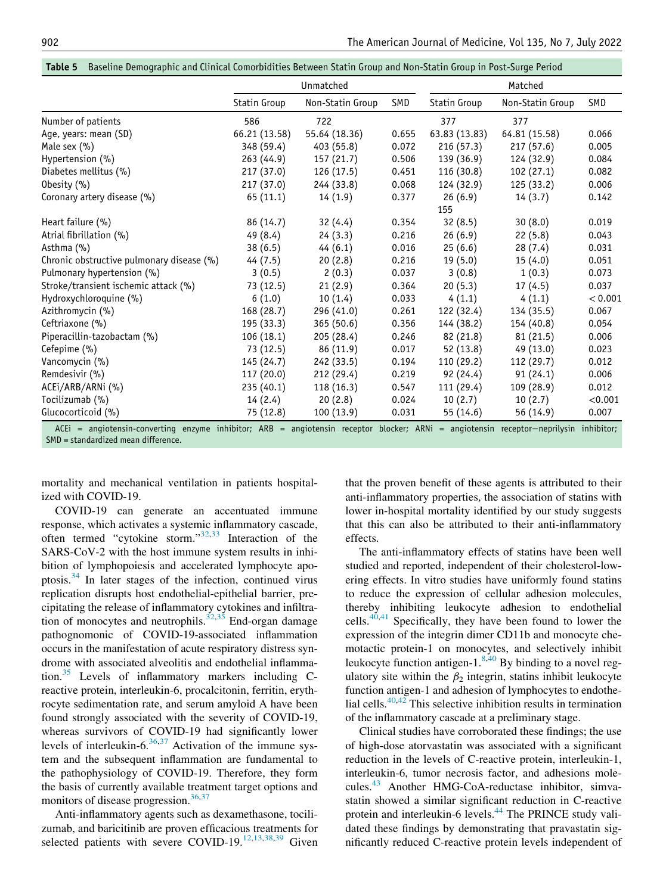| Table 5 Baseline Demographic and Clinical Comorbidities Between Statin Group and Non-Statin Group in Post-Surge Period |  |  |
|------------------------------------------------------------------------------------------------------------------------|--|--|
|                                                                                                                        |  |  |

<span id="page-5-0"></span>

|                                                                                                                                                                              | Unmatched     |                  | Matched |               |                  |         |
|------------------------------------------------------------------------------------------------------------------------------------------------------------------------------|---------------|------------------|---------|---------------|------------------|---------|
|                                                                                                                                                                              | Statin Group  | Non-Statin Group | SMD     | Statin Group  | Non-Statin Group | SMD     |
| Number of patients                                                                                                                                                           | 586           | 722              |         | 377           | 377              |         |
| Age, years: mean (SD)                                                                                                                                                        | 66.21 (13.58) | 55.64 (18.36)    | 0.655   | 63.83 (13.83) | 64.81 (15.58)    | 0.066   |
| Male sex $(\% )$                                                                                                                                                             | 348 (59.4)    | 403 (55.8)       | 0.072   | 216(57.3)     | 217(57.6)        | 0.005   |
| Hypertension (%)                                                                                                                                                             | 263 (44.9)    | 157(21.7)        | 0.506   | 139 (36.9)    | 124 (32.9)       | 0.084   |
| Diabetes mellitus (%)                                                                                                                                                        | 217 (37.0)    | 126 (17.5)       | 0.451   | 116 (30.8)    | 102(27.1)        | 0.082   |
| Obesity $(\% )$                                                                                                                                                              | 217(37.0)     | 244 (33.8)       | 0.068   | 124 (32.9)    | 125 (33.2)       | 0.006   |
| Coronary artery disease (%)                                                                                                                                                  | 65 (11.1)     | 14(1.9)          | 0.377   | 26(6.9)       | 14(3.7)          | 0.142   |
|                                                                                                                                                                              |               |                  |         | 155           |                  |         |
| Heart failure (%)                                                                                                                                                            | 86 (14.7)     | 32(4.4)          | 0.354   | 32(8.5)       | 30(8.0)          | 0.019   |
| Atrial fibrillation (%)                                                                                                                                                      | 49 (8.4)      | 24(3.3)          | 0.216   | 26(6.9)       | 22(5.8)          | 0.043   |
| Asthma (%)                                                                                                                                                                   | 38(6.5)       | 44(6.1)          | 0.016   | 25(6.6)       | 28(7.4)          | 0.031   |
| Chronic obstructive pulmonary disease (%)                                                                                                                                    | 44(7.5)       | 20(2.8)          | 0.216   | 19(5.0)       | 15(4.0)          | 0.051   |
| Pulmonary hypertension (%)                                                                                                                                                   | 3(0.5)        | 2(0.3)           | 0.037   | 3(0.8)        | 1(0.3)           | 0.073   |
| Stroke/transient ischemic attack (%)                                                                                                                                         | 73 (12.5)     | 21(2.9)          | 0.364   | 20(5.3)       | 17(4.5)          | 0.037   |
| Hydroxychloroquine (%)                                                                                                                                                       | 6(1.0)        | 10(1.4)          | 0.033   | 4(1.1)        | 4(1.1)           | < 0.001 |
| Azithromycin (%)                                                                                                                                                             | 168 (28.7)    | 296 (41.0)       | 0.261   | 122 (32.4)    | 134 (35.5)       | 0.067   |
| Ceftriaxone (%)                                                                                                                                                              | 195 (33.3)    | 365(50.6)        | 0.356   | 144 (38.2)    | 154 (40.8)       | 0.054   |
| Piperacillin-tazobactam (%)                                                                                                                                                  | 106(18.1)     | 205 (28.4)       | 0.246   | 82 (21.8)     | 81 (21.5)        | 0.006   |
| Cefepime (%)                                                                                                                                                                 | 73 (12.5)     | 86 (11.9)        | 0.017   | 52 (13.8)     | 49 (13.0)        | 0.023   |
| Vancomycin (%)                                                                                                                                                               | 145 (24.7)    | 242 (33.5)       | 0.194   | 110 (29.2)    | 112 (29.7)       | 0.012   |
| Remdesivir (%)                                                                                                                                                               | 117 (20.0)    | 212 (29.4)       | 0.219   | 92 (24.4)     | 91 (24.1)        | 0.006   |
| ACEi/ARB/ARNi (%)                                                                                                                                                            | 235 (40.1)    | 118(16.3)        | 0.547   | 111 (29.4)    | 109 (28.9)       | 0.012   |
| Tocilizumab (%)                                                                                                                                                              | 14(2.4)       | 20(2.8)          | 0.024   | 10(2.7)       | 10(2.7)          | < 0.001 |
| Glucocorticoid (%)                                                                                                                                                           | 75 (12.8)     | 100(13.9)        | 0.031   | 55 (14.6)     | 56 (14.9)        | 0.007   |
| ACEi = angiotensin-converting enzyme inhibitor; ARB = angiotensin receptor blocker; ARNi = angiotensin receptor-neprilysin inhibitor;<br>SMD = standardized mean difference. |               |                  |         |               |                  |         |

mortality and mechanical ventilation in patients hospital-

ized with COVID-19.

COVID-19 can generate an accentuated immune response, which activates a systemic inflammatory cascade, often termed "cytokine storm."[32,](#page-7-19)[33](#page-7-20) Interaction of the SARS-CoV-2 with the host immune system results in inhibition of lymphopoiesis and accelerated lymphocyte apoptosis.[34](#page-7-21) In later stages of the infection, continued virus replication disrupts host endothelial-epithelial barrier, precipitating the release of inflammatory cytokines and infiltra-tion of monocytes and neutrophils.<sup>32,[35](#page-7-22)</sup> End-organ damage pathognomonic of COVID-19-associated inflammation occurs in the manifestation of acute respiratory distress syndrome with associated alveolitis and endothelial inflammation.[35](#page-7-22) Levels of inflammatory markers including Creactive protein, interleukin-6, procalcitonin, ferritin, erythrocyte sedimentation rate, and serum amyloid A have been found strongly associated with the severity of COVID-19, whereas survivors of COVID-19 had significantly lower levels of interleukin- $6^{36,37}$  $6^{36,37}$  $6^{36,37}$  $6^{36,37}$  Activation of the immune system and the subsequent inflammation are fundamental to the pathophysiology of COVID-19. Therefore, they form the basis of currently available treatment target options and monitors of disease progression.<sup>[36](#page-7-23),[37](#page-7-24)</sup>

Anti-inflammatory agents such as dexamethasone, tocilizumab, and baricitinib are proven efficacious treatments for selected patients with severe COVID-19.<sup>[12](#page-7-11)[,13,](#page-7-12)[38](#page-7-25)[,39](#page-7-26)</sup> Given

that the proven benefit of these agents is attributed to their anti-inflammatory properties, the association of statins with lower in-hospital mortality identified by our study suggests that this can also be attributed to their anti-inflammatory effects.

The anti-inflammatory effects of statins have been well studied and reported, independent of their cholesterol-lowering effects. In vitro studies have uniformly found statins to reduce the expression of cellular adhesion molecules, thereby inhibiting leukocyte adhesion to endothelial cells. $40,41$  $40,41$  Specifically, they have been found to lower the expression of the integrin dimer CD11b and monocyte chemotactic protein-1 on monocytes, and selectively inhibit leukocyte function antigen-1. $8,40$  $8,40$  By binding to a novel regulatory site within the  $\beta_2$  integrin, statins inhibit leukocyte function antigen-1 and adhesion of lymphocytes to endothelial cells. $40,42$  $40,42$  This selective inhibition results in termination of the inflammatory cascade at a preliminary stage.

Clinical studies have corroborated these findings; the use of high-dose atorvastatin was associated with a significant reduction in the levels of C-reactive protein, interleukin-1, interleukin-6, tumor necrosis factor, and adhesions mole-cules.<sup>[43](#page-8-2)</sup> Another HMG-CoA-reductase inhibitor, simvastatin showed a similar significant reduction in C-reactive protein and interleukin-6 levels.<sup>[44](#page-8-3)</sup> The PRINCE study validated these findings by demonstrating that pravastatin significantly reduced C-reactive protein levels independent of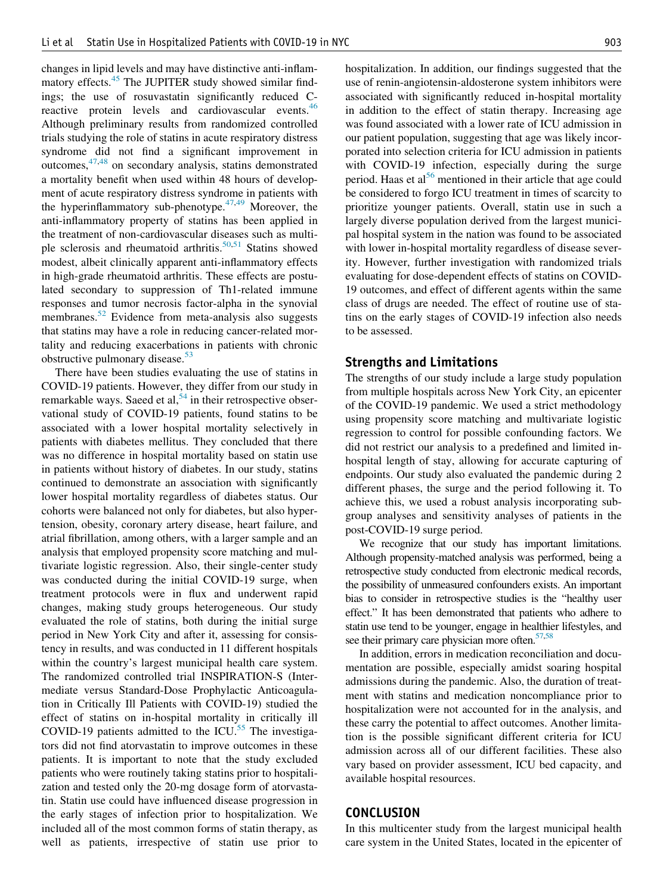changes in lipid levels and may have distinctive anti-inflam-matory effects.<sup>[45](#page-8-4)</sup> The JUPITER study showed similar findings; the use of rosuvastatin significantly reduced C-reactive protein levels and cardiovascular events.<sup>[46](#page-8-5)</sup> Although preliminary results from randomized controlled trials studying the role of statins in acute respiratory distress syndrome did not find a significant improvement in outcomes,[47](#page-8-6)[,48](#page-8-7) on secondary analysis, statins demonstrated a mortality benefit when used within 48 hours of development of acute respiratory distress syndrome in patients with the hyperinflammatory sub-phenotype. $47,49$  $47,49$  Moreover, the anti-inflammatory property of statins has been applied in the treatment of non-cardiovascular diseases such as multi-ple sclerosis and rheumatoid arthritis.<sup>[50,](#page-8-9)[51](#page-8-10)</sup> Statins showed modest, albeit clinically apparent anti-inflammatory effects in high-grade rheumatoid arthritis. These effects are postulated secondary to suppression of Th1-related immune responses and tumor necrosis factor-alpha in the synovial membranes.<sup>[52](#page-8-11)</sup> Evidence from meta-analysis also suggests that statins may have a role in reducing cancer-related mortality and reducing exacerbations in patients with chronic obstructive pulmonary disease.<sup>[53](#page-8-12)</sup>

There have been studies evaluating the use of statins in COVID-19 patients. However, they differ from our study in remarkable ways. Saeed et al,  $54$  in their retrospective observational study of COVID-19 patients, found statins to be associated with a lower hospital mortality selectively in patients with diabetes mellitus. They concluded that there was no difference in hospital mortality based on statin use in patients without history of diabetes. In our study, statins continued to demonstrate an association with significantly lower hospital mortality regardless of diabetes status. Our cohorts were balanced not only for diabetes, but also hypertension, obesity, coronary artery disease, heart failure, and atrial fibrillation, among others, with a larger sample and an analysis that employed propensity score matching and multivariate logistic regression. Also, their single-center study was conducted during the initial COVID-19 surge, when treatment protocols were in flux and underwent rapid changes, making study groups heterogeneous. Our study evaluated the role of statins, both during the initial surge period in New York City and after it, assessing for consistency in results, and was conducted in 11 different hospitals within the country's largest municipal health care system. The randomized controlled trial INSPIRATION-S (Intermediate versus Standard-Dose Prophylactic Anticoagulation in Critically Ill Patients with COVID-19) studied the effect of statins on in-hospital mortality in critically ill COVID-19 patients admitted to the ICU. $55$  The investigators did not find atorvastatin to improve outcomes in these patients. It is important to note that the study excluded patients who were routinely taking statins prior to hospitalization and tested only the 20-mg dosage form of atorvastatin. Statin use could have influenced disease progression in the early stages of infection prior to hospitalization. We included all of the most common forms of statin therapy, as well as patients, irrespective of statin use prior to

hospitalization. In addition, our findings suggested that the use of renin-angiotensin-aldosterone system inhibitors were

associated with significantly reduced in-hospital mortality in addition to the effect of statin therapy. Increasing age was found associated with a lower rate of ICU admission in our patient population, suggesting that age was likely incorporated into selection criteria for ICU admission in patients with COVID-19 infection, especially during the surge period. Haas et al<sup>[56](#page-8-15)</sup> mentioned in their article that age could be considered to forgo ICU treatment in times of scarcity to prioritize younger patients. Overall, statin use in such a largely diverse population derived from the largest municipal hospital system in the nation was found to be associated with lower in-hospital mortality regardless of disease severity. However, further investigation with randomized trials evaluating for dose-dependent effects of statins on COVID-19 outcomes, and effect of different agents within the same class of drugs are needed. The effect of routine use of statins on the early stages of COVID-19 infection also needs to be assessed.

#### Strengths and Limitations

The strengths of our study include a large study population from multiple hospitals across New York City, an epicenter of the COVID-19 pandemic. We used a strict methodology using propensity score matching and multivariate logistic regression to control for possible confounding factors. We did not restrict our analysis to a predefined and limited inhospital length of stay, allowing for accurate capturing of endpoints. Our study also evaluated the pandemic during 2 different phases, the surge and the period following it. To achieve this, we used a robust analysis incorporating subgroup analyses and sensitivity analyses of patients in the post-COVID-19 surge period.

We recognize that our study has important limitations. Although propensity-matched analysis was performed, being a retrospective study conducted from electronic medical records, the possibility of unmeasured confounders exists. An important bias to consider in retrospective studies is the "healthy user effect." It has been demonstrated that patients who adhere to statin use tend to be younger, engage in healthier lifestyles, and see their primary care physician more often.<sup>57,[58](#page-8-17)</sup>

In addition, errors in medication reconciliation and documentation are possible, especially amidst soaring hospital admissions during the pandemic. Also, the duration of treatment with statins and medication noncompliance prior to hospitalization were not accounted for in the analysis, and these carry the potential to affect outcomes. Another limitation is the possible significant different criteria for ICU admission across all of our different facilities. These also vary based on provider assessment, ICU bed capacity, and available hospital resources.

## **CONCLUSION**

In this multicenter study from the largest municipal health care system in the United States, located in the epicenter of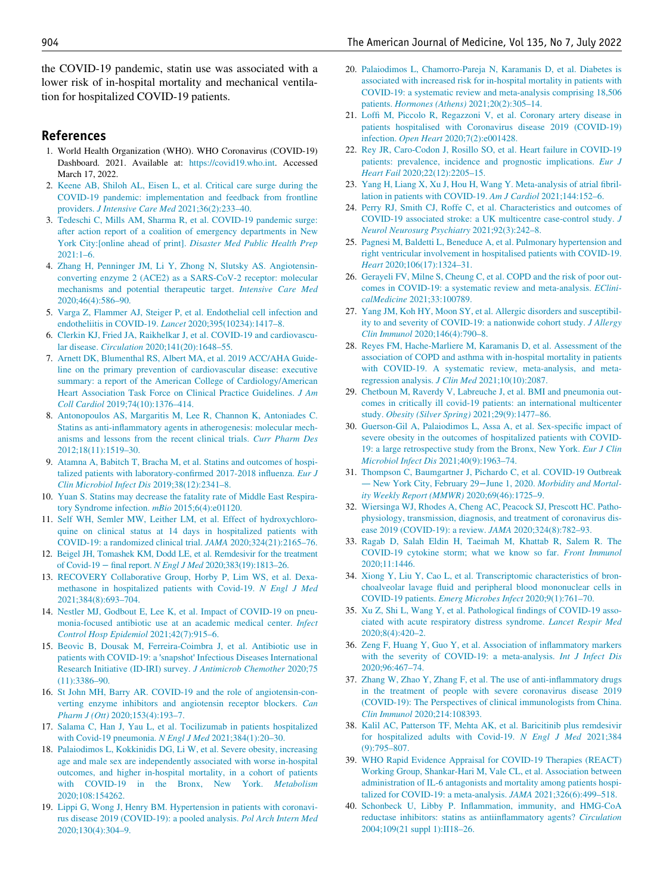the COVID-19 pandemic, statin use was associated with a lower risk of in-hospital mortality and mechanical ventilation for hospitalized COVID-19 patients.

## <span id="page-7-0"></span>References

- 1. World Health Organization (WHO). WHO Coronavirus (COVID-19) Dashboard. 2021. Available at: [https://covid19.who.int.](https://covid19.who.int) Accessed March 17, 2022.
- <span id="page-7-1"></span>2. [Keene AB, Shiloh AL, Eisen L, et al. Critical care surge during the](http://refhub.elsevier.com/S0002-9343(22)00169-3/sbref0002) [COVID-19 pandemic: implementation and feedback from frontline](http://refhub.elsevier.com/S0002-9343(22)00169-3/sbref0002) providers. [J Intensive Care Med](http://refhub.elsevier.com/S0002-9343(22)00169-3/sbref0002) 2021;36(2):233–40.
- <span id="page-7-2"></span>3. [Tedeschi C, Mills AM, Sharma R, et al. COVID-19 pandemic surge:](http://refhub.elsevier.com/S0002-9343(22)00169-3/sbref0003) [after action report of a coalition of emergency departments in New](http://refhub.elsevier.com/S0002-9343(22)00169-3/sbref0003) York City:[online ahead of print]. [Disaster Med Public Health Prep](http://refhub.elsevier.com/S0002-9343(22)00169-3/sbref0003) [2021:1–6.](http://refhub.elsevier.com/S0002-9343(22)00169-3/sbref0003)
- <span id="page-7-3"></span>4. [Zhang H, Penninger JM, Li Y, Zhong N, Slutsky AS. Angiotensin](http://refhub.elsevier.com/S0002-9343(22)00169-3/sbref0004)[converting enzyme 2 \(ACE2\) as a SARS-CoV-2 receptor: molecular](http://refhub.elsevier.com/S0002-9343(22)00169-3/sbref0004) [mechanisms and potential therapeutic target.](http://refhub.elsevier.com/S0002-9343(22)00169-3/sbref0004) Intensive Care Med [2020;46\(4\):586–90.](http://refhub.elsevier.com/S0002-9343(22)00169-3/sbref0004)
- <span id="page-7-4"></span>5. [Varga Z, Flammer AJ, Steiger P, et al. Endothelial cell infection and](http://refhub.elsevier.com/S0002-9343(22)00169-3/sbref0005) [endotheliitis in COVID-19.](http://refhub.elsevier.com/S0002-9343(22)00169-3/sbref0005) Lancet 2020;395(10234):1417–8.
- <span id="page-7-5"></span>6. [Clerkin KJ, Fried JA, Raikhelkar J, et al. COVID-19 and cardiovascu](http://refhub.elsevier.com/S0002-9343(22)00169-3/sbref0006)lar disease. Circulation [2020;141\(20\):1648–55.](http://refhub.elsevier.com/S0002-9343(22)00169-3/sbref0006)
- <span id="page-7-6"></span>7. [Arnett DK, Blumenthal RS, Albert MA, et al. 2019 ACC/AHA Guide](http://refhub.elsevier.com/S0002-9343(22)00169-3/sbref0007)[line on the primary prevention of cardiovascular disease: executive](http://refhub.elsevier.com/S0002-9343(22)00169-3/sbref0007) [summary: a report of the American College of Cardiology/American](http://refhub.elsevier.com/S0002-9343(22)00169-3/sbref0007) [Heart Association Task Force on Clinical Practice Guidelines.](http://refhub.elsevier.com/S0002-9343(22)00169-3/sbref0007) J Am Coll Cardiol [2019;74\(10\):1376–414.](http://refhub.elsevier.com/S0002-9343(22)00169-3/sbref0007)
- <span id="page-7-7"></span>8. [Antonopoulos AS, Margaritis M, Lee R, Channon K, Antoniades C.](http://refhub.elsevier.com/S0002-9343(22)00169-3/sbref0008) [Statins as anti-inflammatory agents in atherogenesis: molecular mech](http://refhub.elsevier.com/S0002-9343(22)00169-3/sbref0008)[anisms and lessons from the recent clinical trials.](http://refhub.elsevier.com/S0002-9343(22)00169-3/sbref0008) Curr Pharm Des [2012;18\(11\):1519–30.](http://refhub.elsevier.com/S0002-9343(22)00169-3/sbref0008)
- <span id="page-7-18"></span><span id="page-7-8"></span>9. [Atamna A, Babitch T, Bracha M, et al. Statins and outcomes of hospi](http://refhub.elsevier.com/S0002-9343(22)00169-3/sbref0009)[talized patients with laboratory-confirmed 2017-2018 influenza.](http://refhub.elsevier.com/S0002-9343(22)00169-3/sbref0009) Eur J [Clin Microbiol Infect Dis](http://refhub.elsevier.com/S0002-9343(22)00169-3/sbref0009) 2019;38(12):2341–8.
- <span id="page-7-19"></span><span id="page-7-9"></span>10. [Yuan S. Statins may decrease the fatality rate of Middle East Respira](http://refhub.elsevier.com/S0002-9343(22)00169-3/sbref0010)[tory Syndrome infection.](http://refhub.elsevier.com/S0002-9343(22)00169-3/sbref0010) mBio 2015;6(4):e01120.
- <span id="page-7-10"></span>11. [Self WH, Semler MW, Leither LM, et al. Effect of hydroxychloro](http://refhub.elsevier.com/S0002-9343(22)00169-3/sbref0011)[quine on clinical status at 14 days in hospitalized patients with](http://refhub.elsevier.com/S0002-9343(22)00169-3/sbref0011) [COVID-19: a randomized clinical trial.](http://refhub.elsevier.com/S0002-9343(22)00169-3/sbref0011) JAMA 2020;324(21):2165–76.
- <span id="page-7-20"></span><span id="page-7-11"></span>12. [Beigel JH, Tomashek KM, Dodd LE, et al. Remdesivir for the treatment](http://refhub.elsevier.com/S0002-9343(22)00169-3/sbref0012) of Covid-19 − final report. N Engl J Med [2020;383\(19\):1813–26.](http://refhub.elsevier.com/S0002-9343(22)00169-3/sbref0012)
- <span id="page-7-21"></span><span id="page-7-12"></span>13. [RECOVERY Collaborative Group, Horby P, Lim WS, et al. Dexa](http://refhub.elsevier.com/S0002-9343(22)00169-3/sbref0013)[methasone in hospitalized patients with Covid-19.](http://refhub.elsevier.com/S0002-9343(22)00169-3/sbref0013) N Engl J Med [2021;384\(8\):693–704.](http://refhub.elsevier.com/S0002-9343(22)00169-3/sbref0013)
- <span id="page-7-22"></span><span id="page-7-13"></span>14. [Nestler MJ, Godbout E, Lee K, et al. Impact of COVID-19 on pneu](http://refhub.elsevier.com/S0002-9343(22)00169-3/sbref0014)[monia-focused antibiotic use at an academic medical center.](http://refhub.elsevier.com/S0002-9343(22)00169-3/sbref0014) Infect [Control Hosp Epidemiol](http://refhub.elsevier.com/S0002-9343(22)00169-3/sbref0014) 2021;42(7):915–6.
- <span id="page-7-23"></span><span id="page-7-14"></span>15. [Beovic B, Dousak M, Ferreira-Coimbra J, et al. Antibiotic use in](http://refhub.elsevier.com/S0002-9343(22)00169-3/sbref0015) patients with COVID-19: a 'snapshot' [Infectious Diseases International](http://refhub.elsevier.com/S0002-9343(22)00169-3/sbref0015) [Research Initiative \(ID-IRI\) survey.](http://refhub.elsevier.com/S0002-9343(22)00169-3/sbref0015) J Antimicrob Chemother 2020;75 [\(11\):3386–90.](http://refhub.elsevier.com/S0002-9343(22)00169-3/sbref0015)
- <span id="page-7-24"></span><span id="page-7-15"></span>16. [St John MH, Barry AR. COVID-19 and the role of angiotensin-con](http://refhub.elsevier.com/S0002-9343(22)00169-3/sbref0016)[verting enzyme inhibitors and angiotensin receptor blockers.](http://refhub.elsevier.com/S0002-9343(22)00169-3/sbref0016) Can Pharm J (Ott) [2020;153\(4\):193–7.](http://refhub.elsevier.com/S0002-9343(22)00169-3/sbref0016)
- <span id="page-7-25"></span><span id="page-7-16"></span>17. [Salama C, Han J, Yau L, et al. Tocilizumab in patients hospitalized](http://refhub.elsevier.com/S0002-9343(22)00169-3/sbref0017) [with Covid-19 pneumonia.](http://refhub.elsevier.com/S0002-9343(22)00169-3/sbref0017) N Engl J Med 2021;384(1):20–30.
- <span id="page-7-26"></span><span id="page-7-17"></span>18. [Palaiodimos L, Kokkinidis DG, Li W, et al. Severe obesity, increasing](http://refhub.elsevier.com/S0002-9343(22)00169-3/sbref0018) [age and male sex are independently associated with worse in-hospital](http://refhub.elsevier.com/S0002-9343(22)00169-3/sbref0018) [outcomes, and higher in-hospital mortality, in a cohort of patients](http://refhub.elsevier.com/S0002-9343(22)00169-3/sbref0018) [with COVID-19 in the Bronx, New York.](http://refhub.elsevier.com/S0002-9343(22)00169-3/sbref0018) Metabolism [2020;108:154262.](http://refhub.elsevier.com/S0002-9343(22)00169-3/sbref0018)
- <span id="page-7-27"></span>19. [Lippi G, Wong J, Henry BM. Hypertension in patients with coronavi](http://refhub.elsevier.com/S0002-9343(22)00169-3/sbref0019)[rus disease 2019 \(COVID-19\): a pooled analysis.](http://refhub.elsevier.com/S0002-9343(22)00169-3/sbref0019) Pol Arch Intern Med [2020;130\(4\):304–9.](http://refhub.elsevier.com/S0002-9343(22)00169-3/sbref0019)
- 20. [Palaiodimos L, Chamorro-Pareja N, Karamanis D, et al. Diabetes is](http://refhub.elsevier.com/S0002-9343(22)00169-3/sbref0020) [associated with increased risk for in-hospital mortality in patients with](http://refhub.elsevier.com/S0002-9343(22)00169-3/sbref0020) [COVID-19: a systematic review and meta-analysis comprising 18,506](http://refhub.elsevier.com/S0002-9343(22)00169-3/sbref0020) patients. Hormones (Athens) [2021;20\(2\):305–14.](http://refhub.elsevier.com/S0002-9343(22)00169-3/sbref0020)
- 21. [Loffi M, Piccolo R, Regazzoni V, et al. Coronary artery disease in](http://refhub.elsevier.com/S0002-9343(22)00169-3/sbref0021) [patients hospitalised with Coronavirus disease 2019 \(COVID-19\)](http://refhub.elsevier.com/S0002-9343(22)00169-3/sbref0021) infection. Open Heart [2020;7\(2\):e001428.](http://refhub.elsevier.com/S0002-9343(22)00169-3/sbref0021)
- 22. [Rey JR, Caro-Codon J, Rosillo SO, et al. Heart failure in COVID-19](http://refhub.elsevier.com/S0002-9343(22)00169-3/sbref0022) [patients: prevalence, incidence and prognostic implications.](http://refhub.elsevier.com/S0002-9343(22)00169-3/sbref0022) Eur J Heart Fail [2020;22\(12\):2205–15.](http://refhub.elsevier.com/S0002-9343(22)00169-3/sbref0022)
- 23. [Yang H, Liang X, Xu J, Hou H, Wang Y. Meta-analysis of atrial fibril](http://refhub.elsevier.com/S0002-9343(22)00169-3/sbref0023)[lation in patients with COVID-19.](http://refhub.elsevier.com/S0002-9343(22)00169-3/sbref0023) Am J Cardiol 2021;144:152–6.
- 24. [Perry RJ, Smith CJ, Roffe C, et al. Characteristics and outcomes of](http://refhub.elsevier.com/S0002-9343(22)00169-3/sbref0024) [COVID-19 associated stroke: a UK multicentre case-control study.](http://refhub.elsevier.com/S0002-9343(22)00169-3/sbref0024) J [Neurol Neurosurg Psychiatry](http://refhub.elsevier.com/S0002-9343(22)00169-3/sbref0024) 2021;92(3):242–8.
- 25. [Pagnesi M, Baldetti L, Beneduce A, et al. Pulmonary hypertension and](http://refhub.elsevier.com/S0002-9343(22)00169-3/sbref0025) [right ventricular involvement in hospitalised patients with COVID-19.](http://refhub.elsevier.com/S0002-9343(22)00169-3/sbref0025) Heart [2020;106\(17\):1324–31.](http://refhub.elsevier.com/S0002-9343(22)00169-3/sbref0025)
- 26. [Gerayeli FV, Milne S, Cheung C, et al. COPD and the risk of poor out](http://refhub.elsevier.com/S0002-9343(22)00169-3/sbref0026)[comes in COVID-19: a systematic review and meta-analysis.](http://refhub.elsevier.com/S0002-9343(22)00169-3/sbref0026) EClinicalMedicine [2021;33:100789.](http://refhub.elsevier.com/S0002-9343(22)00169-3/sbref0026)
- 27. [Yang JM, Koh HY, Moon SY, et al. Allergic disorders and susceptibil](http://refhub.elsevier.com/S0002-9343(22)00169-3/sbref0027)[ity to and severity of COVID-19: a nationwide cohort study.](http://refhub.elsevier.com/S0002-9343(22)00169-3/sbref0027) J Allergy Clin Immunol [2020;146\(4\):790–8.](http://refhub.elsevier.com/S0002-9343(22)00169-3/sbref0027)
- 28. [Reyes FM, Hache-Marliere M, Karamanis D, et al. Assessment of the](http://refhub.elsevier.com/S0002-9343(22)00169-3/sbref0028) [association of COPD and asthma with in-hospital mortality in patients](http://refhub.elsevier.com/S0002-9343(22)00169-3/sbref0028) [with COVID-19. A systematic review, meta-analysis, and meta](http://refhub.elsevier.com/S0002-9343(22)00169-3/sbref0028)[regression analysis.](http://refhub.elsevier.com/S0002-9343(22)00169-3/sbref0028) J Clin Med 2021;10(10):2087.
- 29. [Chetboun M, Raverdy V, Labreuche J, et al. BMI and pneumonia out](http://refhub.elsevier.com/S0002-9343(22)00169-3/sbref0029)[comes in critically ill covid-19 patients: an international multicenter](http://refhub.elsevier.com/S0002-9343(22)00169-3/sbref0029) study. [Obesity \(Silver Spring\)](http://refhub.elsevier.com/S0002-9343(22)00169-3/sbref0029) 2021;29(9):1477–86.
- 30. [Guerson-Gil A, Palaiodimos L, Assa A, et al. Sex-specific impact of](http://refhub.elsevier.com/S0002-9343(22)00169-3/sbref0030) [severe obesity in the outcomes of hospitalized patients with COVID-](http://refhub.elsevier.com/S0002-9343(22)00169-3/sbref0030)[19: a large retrospective study from the Bronx, New York.](http://refhub.elsevier.com/S0002-9343(22)00169-3/sbref0030) Eur J Clin Microbiol Infect Dis [2021;40\(9\):1963–74.](http://refhub.elsevier.com/S0002-9343(22)00169-3/sbref0030)
- 31. [Thompson C, Baumgartner J, Pichardo C, et al. COVID-19 Outbreak](http://refhub.elsevier.com/S0002-9343(22)00169-3/sbref0031) — [New York City, February 29](http://refhub.elsevier.com/S0002-9343(22)00169-3/sbref0031)−June 1, 2020. Morbidity and Mortal[ity Weekly Report \(MMWR\)](http://refhub.elsevier.com/S0002-9343(22)00169-3/sbref0031) 2020;69(46):1725–9.
- 32. [Wiersinga WJ, Rhodes A, Cheng AC, Peacock SJ, Prescott HC. Patho](http://refhub.elsevier.com/S0002-9343(22)00169-3/sbref0032)[physiology, transmission, diagnosis, and treatment of coronavirus dis](http://refhub.elsevier.com/S0002-9343(22)00169-3/sbref0032)[ease 2019 \(COVID-19\): a review.](http://refhub.elsevier.com/S0002-9343(22)00169-3/sbref0032) JAMA 2020;324(8):782–93.
- 33. [Ragab D, Salah Eldin H, Taeimah M, Khattab R, Salem R. The](http://refhub.elsevier.com/S0002-9343(22)00169-3/sbref0033) [COVID-19 cytokine storm; what we know so far.](http://refhub.elsevier.com/S0002-9343(22)00169-3/sbref0033) Front Immunol [2020;11:1446.](http://refhub.elsevier.com/S0002-9343(22)00169-3/sbref0033)
- 34. [Xiong Y, Liu Y, Cao L, et al. Transcriptomic characteristics of bron](http://refhub.elsevier.com/S0002-9343(22)00169-3/sbref0034)[choalveolar lavage fluid and peripheral blood mononuclear cells in](http://refhub.elsevier.com/S0002-9343(22)00169-3/sbref0034) COVID-19 patients. [Emerg Microbes Infect](http://refhub.elsevier.com/S0002-9343(22)00169-3/sbref0034) 2020;9(1):761–70.
- 35. [Xu Z, Shi L, Wang Y, et al. Pathological findings of COVID-19 asso](http://refhub.elsevier.com/S0002-9343(22)00169-3/sbref0035)[ciated with acute respiratory distress syndrome.](http://refhub.elsevier.com/S0002-9343(22)00169-3/sbref0035) Lancet Respir Med [2020;8\(4\):420–2.](http://refhub.elsevier.com/S0002-9343(22)00169-3/sbref0035)
- 36. [Zeng F, Huang Y, Guo Y, et al. Association of inflammatory markers](http://refhub.elsevier.com/S0002-9343(22)00169-3/sbref0036) [with the severity of COVID-19: a meta-analysis.](http://refhub.elsevier.com/S0002-9343(22)00169-3/sbref0036) Int J Infect Dis [2020;96:467–74.](http://refhub.elsevier.com/S0002-9343(22)00169-3/sbref0036)
- 37. [Zhang W, Zhao Y, Zhang F, et al. The use of anti-inflammatory drugs](http://refhub.elsevier.com/S0002-9343(22)00169-3/sbref0037) [in the treatment of people with severe coronavirus disease 2019](http://refhub.elsevier.com/S0002-9343(22)00169-3/sbref0037) [\(COVID-19\): The Perspectives of clinical immunologists from China.](http://refhub.elsevier.com/S0002-9343(22)00169-3/sbref0037) Clin Immunol [2020;214:108393.](http://refhub.elsevier.com/S0002-9343(22)00169-3/sbref0037)
- 38. [Kalil AC, Patterson TF, Mehta AK, et al. Baricitinib plus remdesivir](http://refhub.elsevier.com/S0002-9343(22)00169-3/sbref0038) [for hospitalized adults with Covid-19.](http://refhub.elsevier.com/S0002-9343(22)00169-3/sbref0038) N Engl J Med 2021;384 [\(9\):795–807.](http://refhub.elsevier.com/S0002-9343(22)00169-3/sbref0038)
- 39. [WHO Rapid Evidence Appraisal for COVID-19 Therapies \(REACT\)](http://refhub.elsevier.com/S0002-9343(22)00169-3/sbref0039) [Working Group, Shankar-Hari M, Vale CL, et al. Association between](http://refhub.elsevier.com/S0002-9343(22)00169-3/sbref0039) [administration of IL-6 antagonists and mortality among patients hospi](http://refhub.elsevier.com/S0002-9343(22)00169-3/sbref0039)[talized for COVID-19: a meta-analysis.](http://refhub.elsevier.com/S0002-9343(22)00169-3/sbref0039) JAMA 2021;326(6):499–518.
- 40. [Schonbeck U, Libby P. Inflammation, immunity, and HMG-CoA](http://refhub.elsevier.com/S0002-9343(22)00169-3/sbref0040) [reductase inhibitors: statins as antiinflammatory agents?](http://refhub.elsevier.com/S0002-9343(22)00169-3/sbref0040) Circulation [2004;109\(21 suppl 1\):II18–26.](http://refhub.elsevier.com/S0002-9343(22)00169-3/sbref0040)